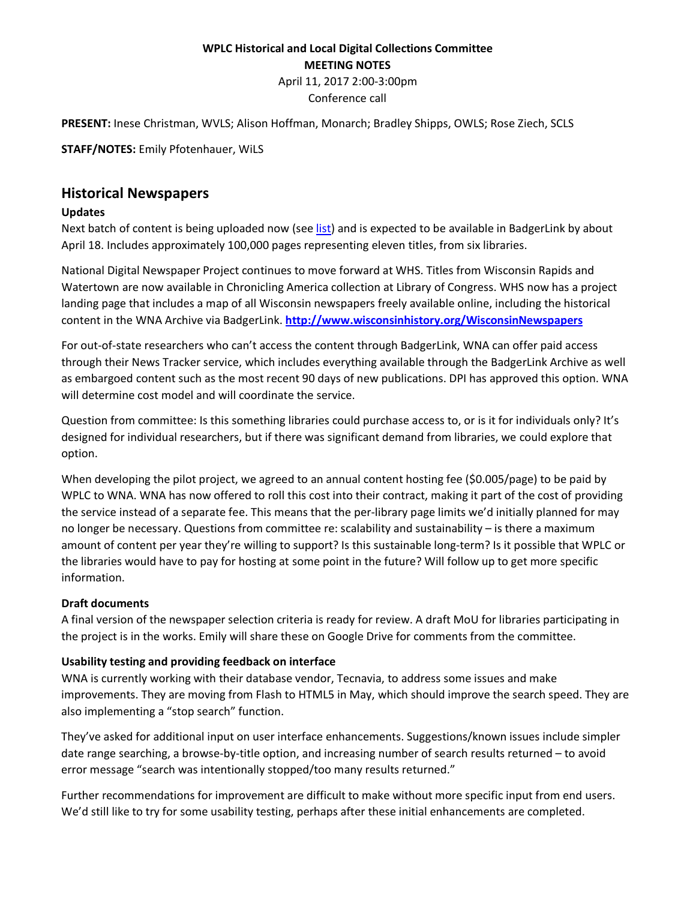## **WPLC Historical and Local Digital Collections Committee MEETING NOTES**

April 11, 2017 2:00-3:00pm Conference call

**PRESENT:** Inese Christman, WVLS; Alison Hoffman, Monarch; Bradley Shipps, OWLS; Rose Ziech, SCLS

**STAFF/NOTES:** Emily Pfotenhauer, WiLS

### **Historical Newspapers**

#### **Updates**

Next batch of content is being uploaded now (see [list\)](https://docs.google.com/a/wils.org/spreadsheets/d/1yVQjHxNrOMMPx5WGpauVjGq95y5kWmWJgHraY-aa98U/edit?usp=sharing) and is expected to be available in BadgerLink by about April 18. Includes approximately 100,000 pages representing eleven titles, from six libraries.

National Digital Newspaper Project continues to move forward at WHS. Titles from Wisconsin Rapids and Watertown are now available in Chronicling America collection at Library of Congress. WHS now has a project landing page that includes a map of all Wisconsin newspapers freely available online, including the historical content in the WNA Archive via BadgerLink. **<http://www.wisconsinhistory.org/WisconsinNewspapers>**

For out-of-state researchers who can't access the content through BadgerLink, WNA can offer paid access through their News Tracker service, which includes everything available through the BadgerLink Archive as well as embargoed content such as the most recent 90 days of new publications. DPI has approved this option. WNA will determine cost model and will coordinate the service.

Question from committee: Is this something libraries could purchase access to, or is it for individuals only? It's designed for individual researchers, but if there was significant demand from libraries, we could explore that option.

When developing the pilot project, we agreed to an annual content hosting fee (\$0.005/page) to be paid by WPLC to WNA. WNA has now offered to roll this cost into their contract, making it part of the cost of providing the service instead of a separate fee. This means that the per-library page limits we'd initially planned for may no longer be necessary. Questions from committee re: scalability and sustainability – is there a maximum amount of content per year they're willing to support? Is this sustainable long-term? Is it possible that WPLC or the libraries would have to pay for hosting at some point in the future? Will follow up to get more specific information.

#### **Draft documents**

A final version of the newspaper selection criteria is ready for review. A draft MoU for libraries participating in the project is in the works. Emily will share these on Google Drive for comments from the committee.

#### **Usability testing and providing feedback on interface**

WNA is currently working with their database vendor, Tecnavia, to address some issues and make improvements. They are moving from Flash to HTML5 in May, which should improve the search speed. They are also implementing a "stop search" function.

They've asked for additional input on user interface enhancements. Suggestions/known issues include simpler date range searching, a browse-by-title option, and increasing number of search results returned – to avoid error message "search was intentionally stopped/too many results returned."

Further recommendations for improvement are difficult to make without more specific input from end users. We'd still like to try for some usability testing, perhaps after these initial enhancements are completed.